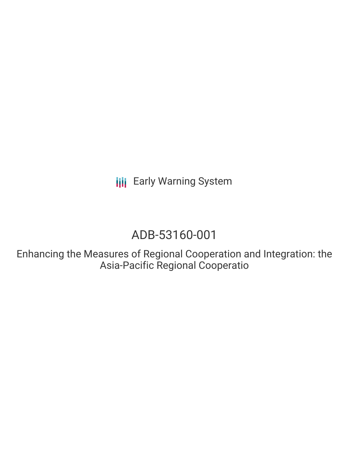**III** Early Warning System

# ADB-53160-001

Enhancing the Measures of Regional Cooperation and Integration: the Asia-Pacific Regional Cooperatio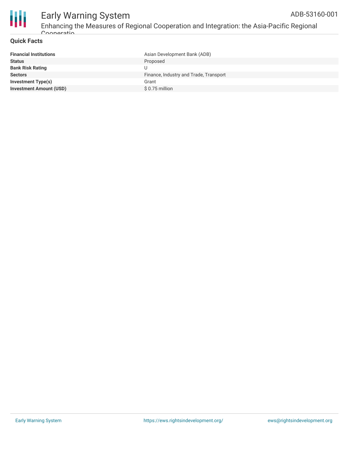

#### Early Warning System Enhancing the Measures of Regional Cooperation and Integration: the Asia-Pacific Regional Cooperatio ADB-53160-001

#### **Quick Facts**

| <b>Financial Institutions</b>  | Asian Development Bank (ADB)           |
|--------------------------------|----------------------------------------|
| <b>Status</b>                  | Proposed                               |
| <b>Bank Risk Rating</b>        |                                        |
| <b>Sectors</b>                 | Finance, Industry and Trade, Transport |
| <b>Investment Type(s)</b>      | Grant                                  |
| <b>Investment Amount (USD)</b> | $$0.75$ million                        |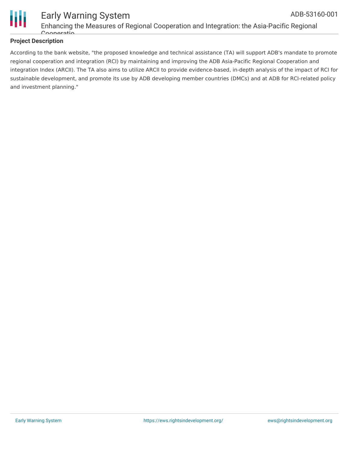

### **Project Description**

According to the bank website, "the proposed knowledge and technical assistance (TA) will support ADB's mandate to promote regional cooperation and integration (RCI) by maintaining and improving the ADB Asia-Pacific Regional Cooperation and integration Index (ARCII). The TA also aims to utilize ARCII to provide evidence-based, in-depth analysis of the impact of RCI for sustainable development, and promote its use by ADB developing member countries (DMCs) and at ADB for RCI-related policy and investment planning."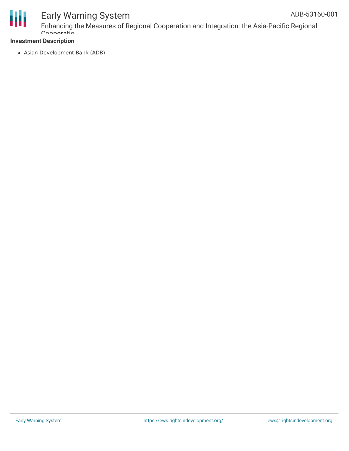

# Early Warning System

### **Investment Description**

Asian Development Bank (ADB)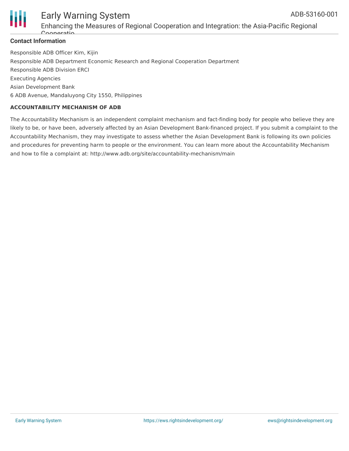

#### Early Warning System Enhancing the Measures of Regional Cooperation and Integration: the Asia-Pacific Regional Cooperation ADB-53160-001

Responsible ADB Officer Kim, Kijin Responsible ADB Department Economic Research and Regional Cooperation Department Responsible ADB Division ERCI Executing Agencies Asian Development Bank 6 ADB Avenue, Mandaluyong City 1550, Philippines

#### **ACCOUNTABILITY MECHANISM OF ADB**

The Accountability Mechanism is an independent complaint mechanism and fact-finding body for people who believe they are likely to be, or have been, adversely affected by an Asian Development Bank-financed project. If you submit a complaint to the Accountability Mechanism, they may investigate to assess whether the Asian Development Bank is following its own policies and procedures for preventing harm to people or the environment. You can learn more about the Accountability Mechanism and how to file a complaint at: http://www.adb.org/site/accountability-mechanism/main